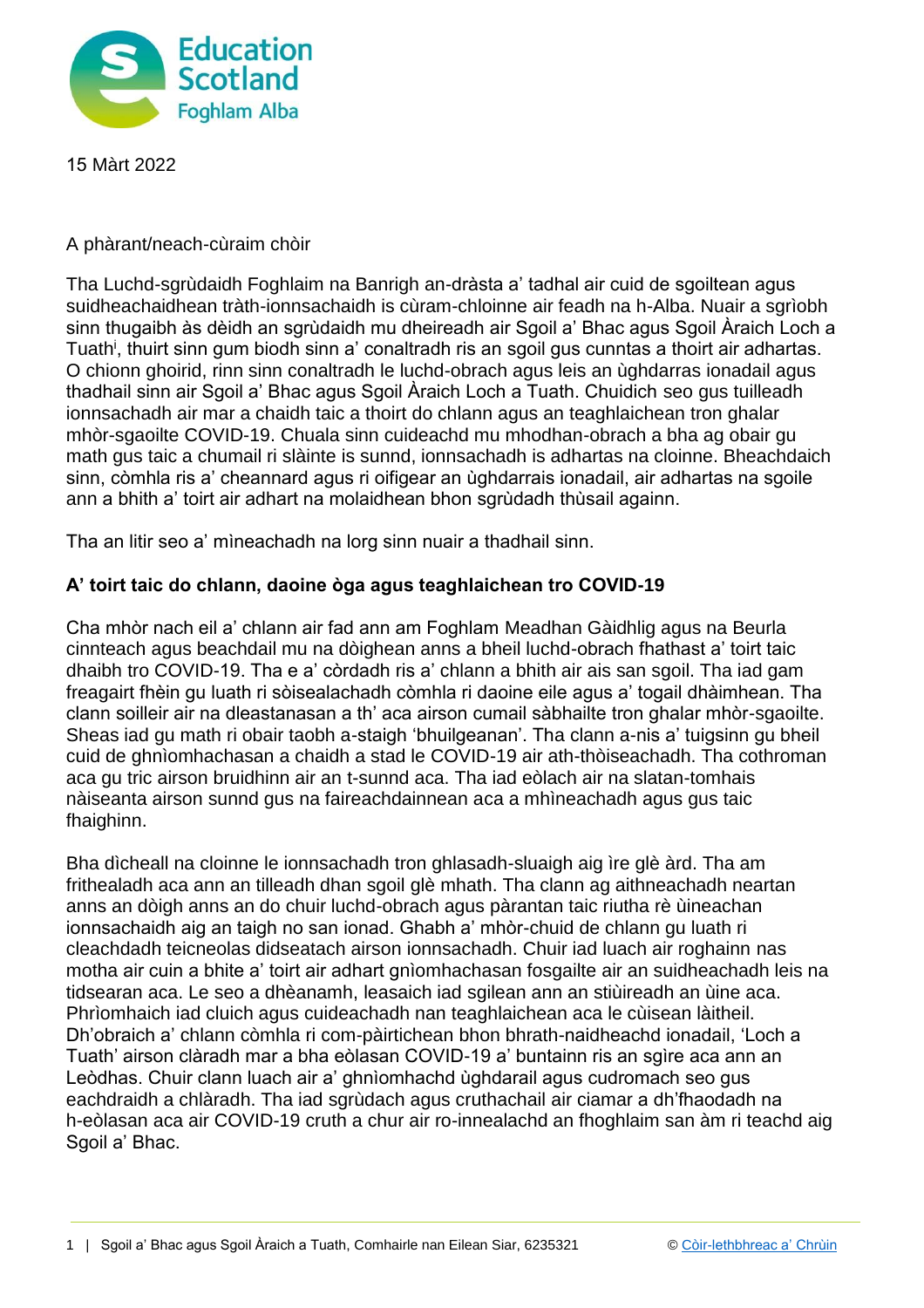

15 Màrt 2022

A phàrant/neach-cùraim chòir

Tha Luchd-sgrùdaidh Foghlaim na Banrigh an-dràsta a' tadhal air cuid de sgoiltean agus suidheachaidhean tràth-ionnsachaidh is cùram-chloinne air feadh na h-Alba. Nuair a sgrìobh sinn thugaibh às dèidh an sgrùdaidh mu dheireadh air Sgoil a' Bhac agus Sgoil Àraich Loch a Tuath<sup>i</sup>, thuirt sinn gum biodh sinn a' conaltradh ris an sgoil gus cunntas a thoirt air adhartas. O chionn ghoirid, rinn sinn conaltradh le luchd-obrach agus leis an ùghdarras ionadail agus thadhail sinn air Sgoil a' Bhac agus Sgoil Àraich Loch a Tuath. Chuidich seo gus tuilleadh ionnsachadh air mar a chaidh taic a thoirt do chlann agus an teaghlaichean tron ghalar mhòr-sgaoilte COVID-19. Chuala sinn cuideachd mu mhodhan-obrach a bha ag obair gu math gus taic a chumail ri slàinte is sunnd, ionnsachadh is adhartas na cloinne. Bheachdaich sinn, còmhla ris a' cheannard agus ri oifigear an ùghdarrais ionadail, air adhartas na sgoile ann a bhith a' toirt air adhart na molaidhean bhon sgrùdadh thùsail againn.

Tha an litir seo a' mìneachadh na lorg sinn nuair a thadhail sinn.

## **A' toirt taic do chlann, daoine òga agus teaghlaichean tro COVID-19**

Cha mhòr nach eil a' chlann air fad ann am Foghlam Meadhan Gàidhlig agus na Beurla cinnteach agus beachdail mu na dòighean anns a bheil luchd-obrach fhathast a' toirt taic dhaibh tro COVID-19. Tha e a' còrdadh ris a' chlann a bhith air ais san sgoil. Tha iad gam freagairt fhèin gu luath ri sòisealachadh còmhla ri daoine eile agus a' togail dhàimhean. Tha clann soilleir air na dleastanasan a th' aca airson cumail sàbhailte tron ghalar mhòr-sgaoilte. Sheas iad gu math ri obair taobh a-staigh 'bhuilgeanan'. Tha clann a-nis a' tuigsinn gu bheil cuid de ghnìomhachasan a chaidh a stad le COVID-19 air ath-thòiseachadh. Tha cothroman aca gu tric airson bruidhinn air an t-sunnd aca. Tha iad eòlach air na slatan-tomhais nàiseanta airson sunnd gus na faireachdainnean aca a mhìneachadh agus gus taic fhaighinn.

Bha dìcheall na cloinne le ionnsachadh tron ghlasadh-sluaigh aig ìre glè àrd. Tha am frithealadh aca ann an tilleadh dhan sgoil glè mhath. Tha clann ag aithneachadh neartan anns an dòigh anns an do chuir luchd-obrach agus pàrantan taic riutha rè ùineachan ionnsachaidh aig an taigh no san ionad. Ghabh a' mhòr-chuid de chlann gu luath ri cleachdadh teicneolas didseatach airson ionnsachadh. Chuir iad luach air roghainn nas motha air cuin a bhite a' toirt air adhart gnìomhachasan fosgailte air an suidheachadh leis na tidsearan aca. Le seo a dhèanamh, leasaich iad sgilean ann an stiùireadh an ùine aca. Phrìomhaich iad cluich agus cuideachadh nan teaghlaichean aca le cùisean làitheil. Dh'obraich a' chlann còmhla ri com-pàirtichean bhon bhrath-naidheachd ionadail, 'Loch a Tuath' airson clàradh mar a bha eòlasan COVID-19 a' buntainn ris an sgìre aca ann an Leòdhas. Chuir clann luach air a' ghnìomhachd ùghdarail agus cudromach seo gus eachdraidh a chlàradh. Tha iad sgrùdach agus cruthachail air ciamar a dh'fhaodadh na h-eòlasan aca air COVID-19 cruth a chur air ro-innealachd an fhoghlaim san àm ri teachd aig Sgoil a' Bhac.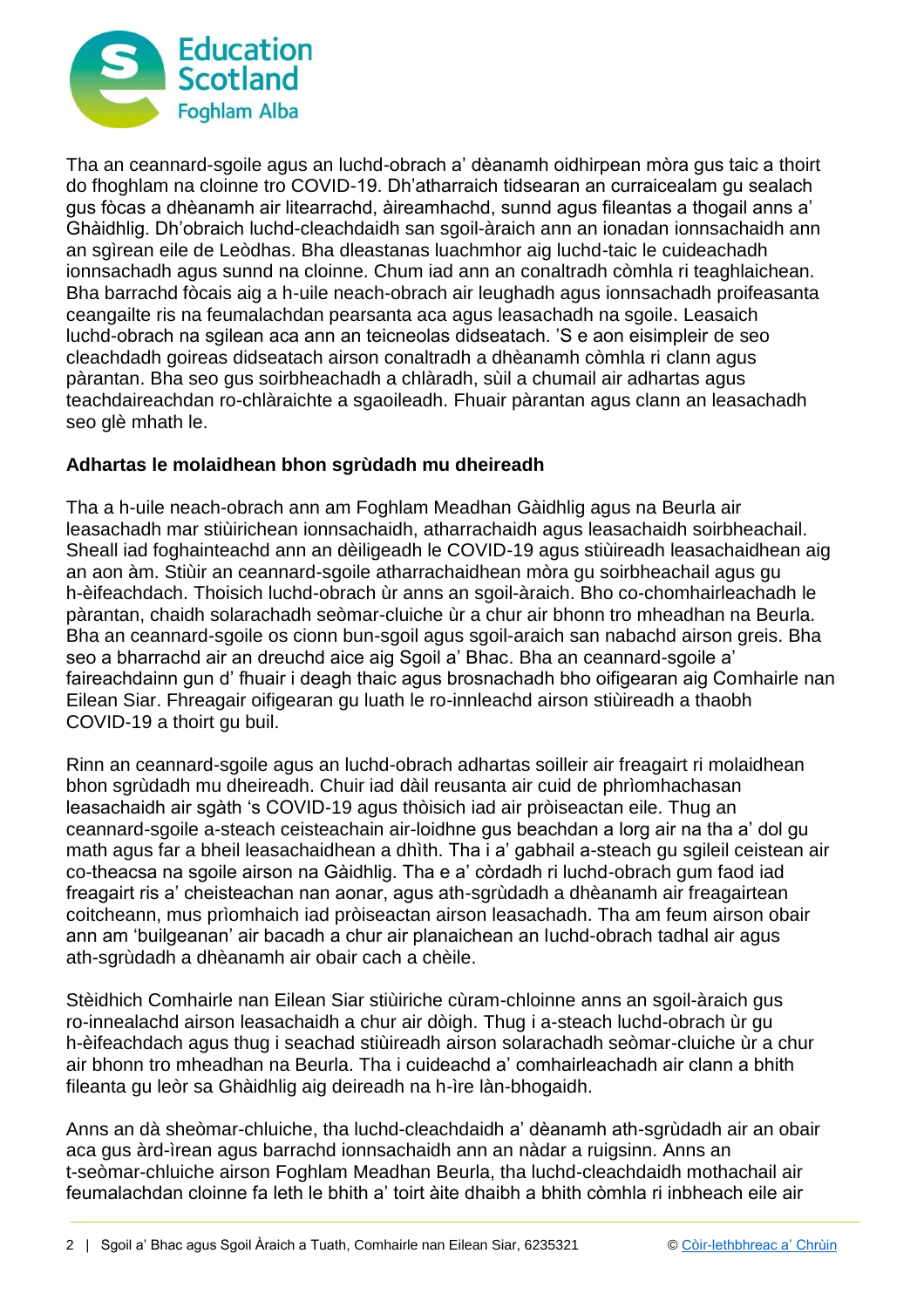

Tha an ceannard-sgoile agus an luchd-obrach a' dèanamh oidhirpean mòra gus taic a thoirt do fhoghlam na cloinne tro COVID-19. Dh'atharraich tidsearan an curraicealam gu sealach gus fòcas a dhèanamh air litearrachd, àireamhachd, sunnd agus fileantas a thogail anns a' Ghàidhlig. Dh'obraich luchd-cleachdaidh san sgoil-àraich ann an ionadan ionnsachaidh ann an sgìrean eile de Leòdhas. Bha dleastanas luachmhor aig luchd-taic le cuideachadh ionnsachadh agus sunnd na cloinne. Chum iad ann an conaltradh còmhla ri teaghlaichean. Bha barrachd fòcais aig a h-uile neach-obrach air leughadh agus ionnsachadh proifeasanta ceangailte ris na feumalachdan pearsanta aca agus leasachadh na sgoile. Leasaich luchd-obrach na sgilean aca ann an teicneolas didseatach. 'S e aon eisimpleir de seo cleachdadh goireas didseatach airson conaltradh a dhèanamh còmhla ri clann agus pàrantan. Bha seo gus soirbheachadh a chlàradh, sùil a chumail air adhartas agus teachdaireachdan ro-chlàraichte a sgaoileadh. Fhuair pàrantan agus clann an leasachadh seo glè mhath le.

## **Adhartas le molaidhean bhon sgrùdadh mu dheireadh**

Tha a h-uile neach-obrach ann am Foghlam Meadhan Gàidhlig agus na Beurla air leasachadh mar stiùirichean ionnsachaidh, atharrachaidh agus leasachaidh soirbheachail. Sheall iad foghainteachd ann an dèiligeadh le COVID-19 agus stiùireadh leasachaidhean aig an aon àm. Stiùir an ceannard-sgoile atharrachaidhean mòra gu soirbheachail agus gu h-èifeachdach. Thoisich luchd-obrach ùr anns an sgoil-àraich. Bho co-chomhairleachadh le pàrantan, chaidh solarachadh seòmar-cluiche ùr a chur air bhonn tro mheadhan na Beurla. Bha an ceannard-sgoile os cionn bun-sgoil agus sgoil-araich san nabachd airson greis. Bha seo a bharrachd air an dreuchd aice aig Sgoil a' Bhac. Bha an ceannard-sgoile a' faireachdainn gun d' fhuair i deagh thaic agus brosnachadh bho oifigearan aig Comhairle nan Eilean Siar. Fhreagair oifigearan gu luath le ro-innleachd airson stiùireadh a thaobh COVID-19 a thoirt gu buil.

Rinn an ceannard-sgoile agus an luchd-obrach adhartas soilleir air freagairt ri molaidhean bhon sgrùdadh mu dheireadh. Chuir iad dàil reusanta air cuid de phrìomhachasan leasachaidh air sgàth 's COVID-19 agus thòisich iad air pròiseactan eile. Thug an ceannard-sgoile a-steach ceisteachain air-loidhne gus beachdan a lorg air na tha a' dol gu math agus far a bheil leasachaidhean a dhìth. Tha i a' gabhail a-steach gu sgileil ceistean air co-theacsa na sgoile airson na Gàidhlig. Tha e a' còrdadh ri luchd-obrach gum faod iad freagairt ris a' cheisteachan nan aonar, agus ath-sgrùdadh a dhèanamh air freagairtean coitcheann, mus prìomhaich iad pròiseactan airson leasachadh. Tha am feum airson obair ann am 'builgeanan' air bacadh a chur air planaichean an luchd-obrach tadhal air agus ath-sgrùdadh a dhèanamh air obair cach a chèile.

Stèidhich Comhairle nan Eilean Siar stiùiriche cùram-chloinne anns an sgoil-àraich gus ro-innealachd airson leasachaidh a chur air dòigh. Thug i a-steach luchd-obrach ùr gu h-èifeachdach agus thug i seachad stiùireadh airson solarachadh seòmar-cluiche ùr a chur air bhonn tro mheadhan na Beurla. Tha i cuideachd a' comhairleachadh air clann a bhith fileanta gu leòr sa Ghàidhlig aig deireadh na h-ìre làn-bhogaidh.

Anns an dà sheòmar-chluiche, tha luchd-cleachdaidh a' dèanamh ath-sgrùdadh air an obair aca gus àrd-ìrean agus barrachd ionnsachaidh ann an nàdar a ruigsinn. Anns an t-seòmar-chluiche airson Foghlam Meadhan Beurla, tha luchd-cleachdaidh mothachail air feumalachdan cloinne fa leth le bhith a' toirt àite dhaibh a bhith còmhla ri inbheach eile air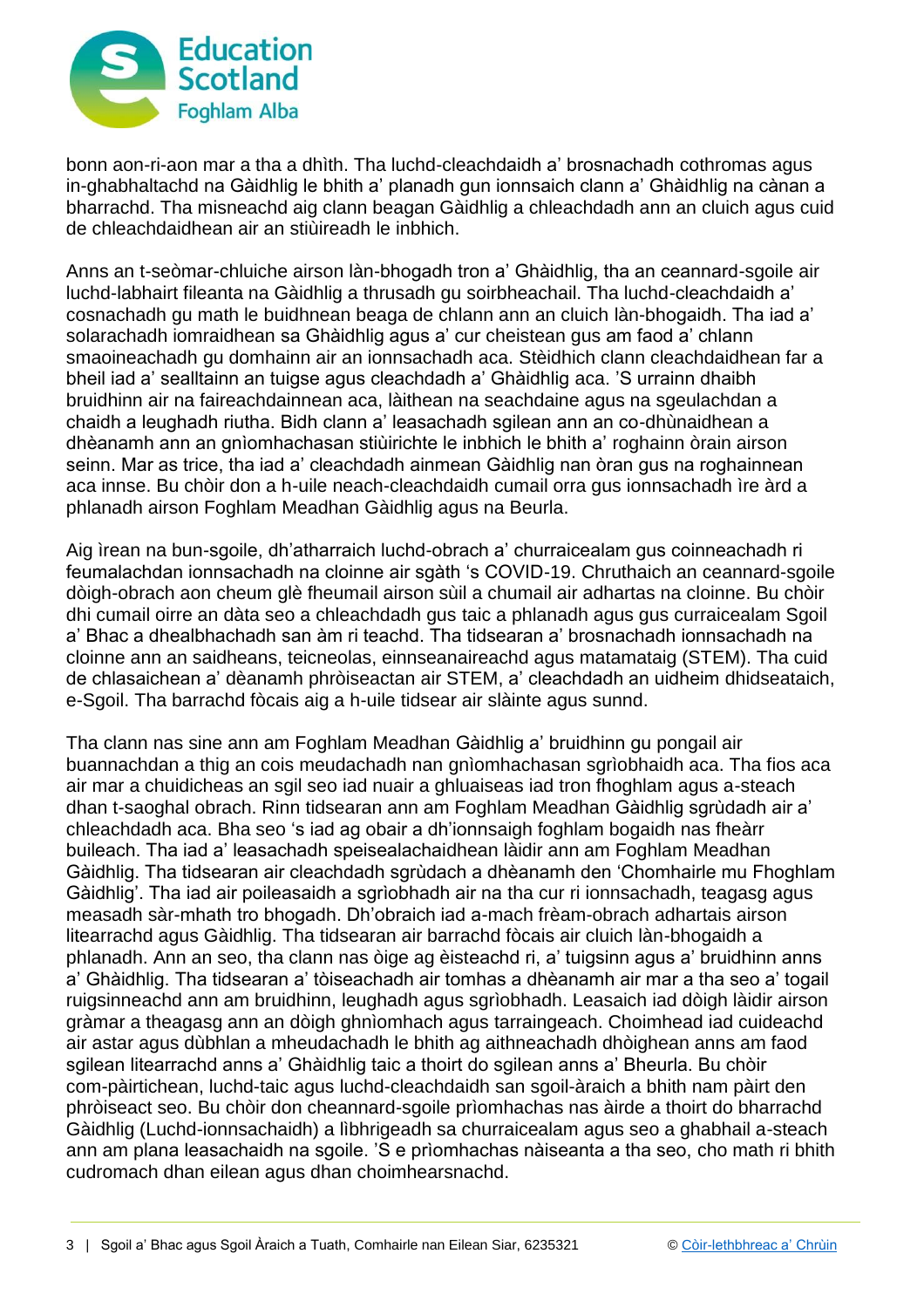

bonn aon-ri-aon mar a tha a dhìth. Tha luchd-cleachdaidh a' brosnachadh cothromas agus in-ghabhaltachd na Gàidhlig le bhith a' planadh gun ionnsaich clann a' Ghàidhlig na cànan a bharrachd. Tha misneachd aig clann beagan Gàidhlig a chleachdadh ann an cluich agus cuid de chleachdaidhean air an stiùireadh le inbhich.

Anns an t-seòmar-chluiche airson làn-bhogadh tron a' Ghàidhlig, tha an ceannard-sgoile air luchd-labhairt fileanta na Gàidhlig a thrusadh gu soirbheachail. Tha luchd-cleachdaidh a' cosnachadh gu math le buidhnean beaga de chlann ann an cluich làn-bhogaidh. Tha iad a' solarachadh iomraidhean sa Ghàidhlig agus a' cur cheistean gus am faod a' chlann smaoineachadh gu domhainn air an ionnsachadh aca. Stèidhich clann cleachdaidhean far a bheil iad a' sealltainn an tuigse agus cleachdadh a' Ghàidhlig aca. 'S urrainn dhaibh bruidhinn air na faireachdainnean aca, làithean na seachdaine agus na sgeulachdan a chaidh a leughadh riutha. Bidh clann a' leasachadh sgilean ann an co-dhùnaidhean a dhèanamh ann an gnìomhachasan stiùirichte le inbhich le bhith a' roghainn òrain airson seinn. Mar as trice, tha iad a' cleachdadh ainmean Gàidhlig nan òran gus na roghainnean aca innse. Bu chòir don a h-uile neach-cleachdaidh cumail orra gus ionnsachadh ìre àrd a phlanadh airson Foghlam Meadhan Gàidhlig agus na Beurla.

Aig ìrean na bun-sgoile, dh'atharraich luchd-obrach a' churraicealam gus coinneachadh ri feumalachdan ionnsachadh na cloinne air sgàth 's COVID-19. Chruthaich an ceannard-sgoile dòigh-obrach aon cheum glè fheumail airson sùil a chumail air adhartas na cloinne. Bu chòir dhi cumail oirre an dàta seo a chleachdadh gus taic a phlanadh agus gus curraicealam Sgoil a' Bhac a dhealbhachadh san àm ri teachd. Tha tidsearan a' brosnachadh ionnsachadh na cloinne ann an saidheans, teicneolas, einnseanaireachd agus matamataig (STEM). Tha cuid de chlasaichean a' dèanamh phròiseactan air STEM, a' cleachdadh an uidheim dhidseataich, e-Sgoil. Tha barrachd fòcais aig a h-uile tidsear air slàinte agus sunnd.

Tha clann nas sine ann am Foghlam Meadhan Gàidhlig a' bruidhinn gu pongail air buannachdan a thig an cois meudachadh nan gnìomhachasan sgrìobhaidh aca. Tha fios aca air mar a chuidicheas an sgil seo iad nuair a ghluaiseas iad tron fhoghlam agus a-steach dhan t-saoghal obrach. Rinn tidsearan ann am Foghlam Meadhan Gàidhlig sgrùdadh air a' chleachdadh aca. Bha seo 's iad ag obair a dh'ionnsaigh foghlam bogaidh nas fheàrr buileach. Tha iad a' leasachadh speisealachaidhean làidir ann am Foghlam Meadhan Gàidhlig. Tha tidsearan air cleachdadh sgrùdach a dhèanamh den 'Chomhairle mu Fhoghlam Gàidhlig'. Tha iad air poileasaidh a sgrìobhadh air na tha cur ri ionnsachadh, teagasg agus measadh sàr-mhath tro bhogadh. Dh'obraich iad a-mach frèam-obrach adhartais airson litearrachd agus Gàidhlig. Tha tidsearan air barrachd fòcais air cluich làn-bhogaidh a phlanadh. Ann an seo, tha clann nas òige ag èisteachd ri, a' tuigsinn agus a' bruidhinn anns a' Ghàidhlig. Tha tidsearan a' tòiseachadh air tomhas a dhèanamh air mar a tha seo a' togail ruigsinneachd ann am bruidhinn, leughadh agus sgrìobhadh. Leasaich iad dòigh làidir airson gràmar a theagasg ann an dòigh ghnìomhach agus tarraingeach. Choimhead iad cuideachd air astar agus dùbhlan a mheudachadh le bhith ag aithneachadh dhòighean anns am faod sgilean litearrachd anns a' Ghàidhlig taic a thoirt do sgilean anns a' Bheurla. Bu chòir com-pàirtichean, luchd-taic agus luchd-cleachdaidh san sgoil-àraich a bhith nam pàirt den phròiseact seo. Bu chòir don cheannard-sgoile prìomhachas nas àirde a thoirt do bharrachd Gàidhlig (Luchd-ionnsachaidh) a lìbhrigeadh sa churraicealam agus seo a ghabhail a-steach ann am plana leasachaidh na sgoile. 'S e prìomhachas nàiseanta a tha seo, cho math ri bhith cudromach dhan eilean agus dhan choimhearsnachd.